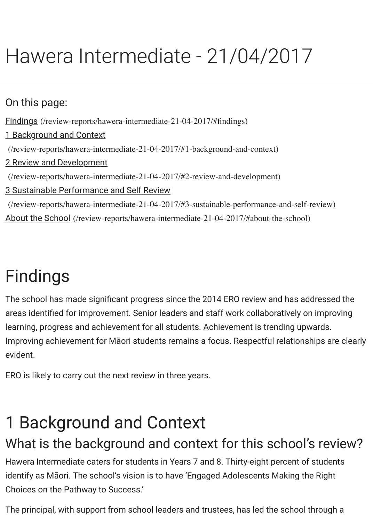#### On this page:

Findings (/review-reports/hawera-intermediate-21-04-2017/#findings)

1 Background and Context

(/review-reports/hawera-intermediate-21-04-2017/#1-background-and-context)

#### 2 Review and Development

(/review-reports/hawera-intermediate-21-04-2017/#2-review-and-development)

3 Sustainable Performance and Self Review

(/review-reports/hawera-intermediate-21-04-2017/#3-sustainable-performance-and-self-review) About the School [\(/review-reports/hawera-intermediate-21-04-2017/#a](http://www.ero.govt.nz/review-reports/hawera-intermediate-21-04-2017/#findings)bout-the-school)

# [Findings](http://www.ero.govt.nz/review-reports/hawera-intermediate-21-04-2017/#2-review-and-development)

The school has made significant progress since the 2014 ERO review and has addres areas identifi[ed for improvement. Senior leaders and staff work collaboratively on](http://www.ero.govt.nz/review-reports/hawera-intermediate-21-04-2017/#about-the-school) imp learning, progress and achievement for all students. Achievement is trending upwards Improving achievement for Māori students remains a focus. Respectful relationships evident.

ERO is likely to carry out the next review in three years.

# 1 Background and Context

## What is the background and context for this school's re

Hawera Intermediate caters for students in Years 7 and 8. Thirty-eight percent of stud identify as Māori. The school's vision is to have 'Engaged Adolescents Making the Rig Choices on the Pathway to Success.'

The principal, with support from school leaders and trustees, has led the school throu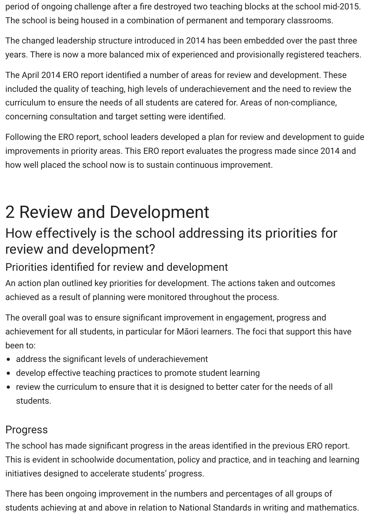period of ongoing challenge after a fire destroyed two teaching blocks at the school mid-2015. The school is being housed in a combination of permanent and temporary classrooms.

The changed leadership structure introduced in 2014 has been embedded over the past three years. There is now a more balanced mix of experienced and provisionally registered teachers.

The April 2014 ERO report identified a number of areas for review and development. These included the quality of teaching, high levels of underachievement and the need to review the curriculum to ensure the needs of all students are catered for. Areas of non-compliance, concerning consultation and target setting were identified.

Following the ERO report, school leaders developed a plan for review and development to guide improvements in priority areas. This ERO report evaluates the progress made since 2014 and how well placed the school now is to sustain continuous improvement.

## 2 Review and Development

### How effectively is the school addressing its priorities for review and development?

#### Priorities identified for review and development

An action plan outlined key priorities for development. The actions taken and outcomes achieved as a result of planning were monitored throughout the process.

The overall goal was to ensure significant improvement in engagement, progress and achievement for all students, in particular for Māori learners. The foci that support this have been to:

- address the significant levels of underachievement
- develop effective teaching practices to promote student learning
- review the curriculum to ensure that it is designed to better cater for the needs of all students.

#### Progress

The school has made significant progress in the areas identified in the previous ERO report. This is evident in schoolwide documentation, policy and practice, and in teaching and learning initiatives designed to accelerate students' progress.

There has been ongoing improvement in the numbers and percentages of all groups of students achieving at and above in relation to National Standards in writing and mathematics.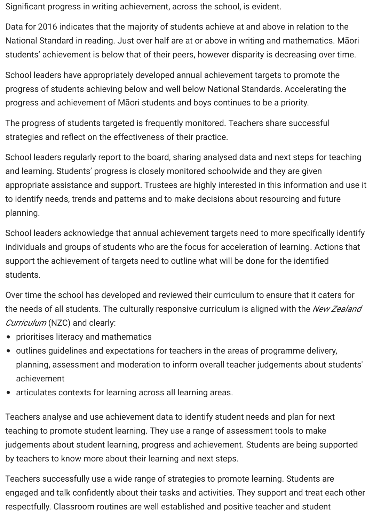Significant progress in writing achievement, across the school, is evident.

Data for 2016 indicates that the majority of students achieve at and above in relation to the National Standard in reading. Just over half are at or above in writing and mathematics. Māori students' achievement is below that of their peers, however disparity is decreasing over time.

School leaders have appropriately developed annual achievement targets to promote the progress of students achieving below and well below National Standards. Accelerating the progress and achievement of Māori students and boys continues to be a priority.

The progress of students targeted is frequently monitored. Teachers share successful strategies and reflect on the effectiveness of their practice.

School leaders regularly report to the board, sharing analysed data and next steps for teaching and learning. Students' progress is closely monitored schoolwide and they are given appropriate assistance and support. Trustees are highly interested in this information and use it to identify needs, trends and patterns and to make decisions about resourcing and future planning.

School leaders acknowledge that annual achievement targets need to more specifically identify individuals and groups of students who are the focus for acceleration of learning. Actions that support the achievement of targets need to outline what will be done for the identified students.

Over time the school has developed and reviewed their curriculum to ensure that it caters for the needs of all students. The culturally responsive curriculum is aligned with the *New Zealand Curriculum* (NZC) and clearly:

- prioritises literacy and mathematics
- outlines guidelines and expectations for teachers in the areas of programme delivery, planning, assessment and moderation to inform overall teacher judgements about students' achievement
- articulates contexts for learning across all learning areas.

Teachers analyse and use achievement data to identify student needs and plan for next teaching to promote student learning. They use a range of assessment tools to make judgements about student learning, progress and achievement. Students are being supported by teachers to know more about their learning and next steps.

Teachers successfully use a wide range of strategies to promote learning. Students are engaged and talk confidently about their tasks and activities. They support and treat each other respectfully. Classroom routines are well established and positive teacher and student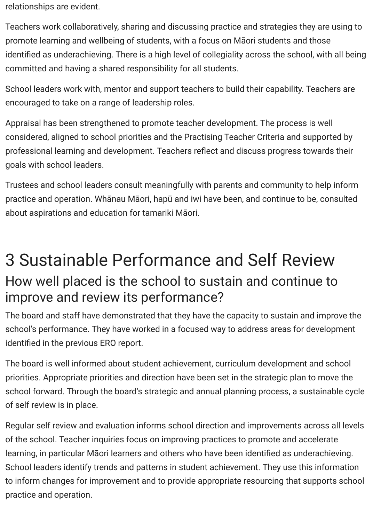relationships are evident.

Teachers work collaboratively, sharing and discussing practice and strategies they are using to promote learning and wellbeing of students, with a focus on Māori students and those identified as underachieving. There is a high level of collegiality across the school, with all being committed and having a shared responsibility for all students.

School leaders work with, mentor and support teachers to build their capability. Teachers are encouraged to take on a range of leadership roles.

Appraisal has been strengthened to promote teacher development. The process is well considered, aligned to school priorities and the Practising Teacher Criteria and supported by professional learning and development. Teachers reflect and discuss progress towards their goals with school leaders.

Trustees and school leaders consult meaningfully with parents and community to help inform practice and operation. Whānau Māori, hapū and iwi have been, and continue to be, consulted about aspirations and education for tamariki Māori.

## 3 Sustainable Performance and Self Review How well placed is the school to sustain and continue to improve and review its performance?

The board and staff have demonstrated that they have the capacity to sustain and improve the school's performance. They have worked in a focused way to address areas for development identified in the previous ERO report.

The board is well informed about student achievement, curriculum development and school priorities. Appropriate priorities and direction have been set in the strategic plan to move the school forward. Through the board's strategic and annual planning process, a sustainable cycle of self review is in place.

Regular self review and evaluation informs school direction and improvements across all levels of the school. Teacher inquiries focus on improving practices to promote and accelerate learning, in particular Māori learners and others who have been identified as underachieving. School leaders identify trends and patterns in student achievement. They use this information to inform changes for improvement and to provide appropriate resourcing that supports school practice and operation.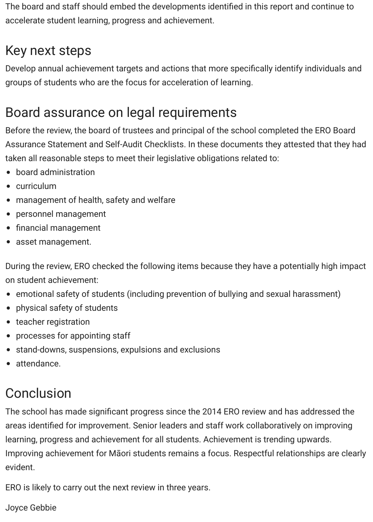The board and staff should embed the developments identified in this report and continue to accelerate student learning, progress and achievement.

## Key next steps

Develop annual achievement targets and actions that more specifically identify individuals and groups of students who are the focus for acceleration of learning.

## Board assurance on legal requirements

Before the review, the board of trustees and principal of the school completed the ERO Board Assurance Statement and Self-Audit Checklists. In these documents they attested that they had taken all reasonable steps to meet their legislative obligations related to:

- board administration
- curriculum
- management of health, safety and welfare
- personnel management
- financial management
- asset management.

During the review, ERO checked the following items because they have a potentially high impact on student achievement:

- emotional safety of students (including prevention of bullying and sexual harassment)
- physical safety of students
- teacher registration
- processes for appointing staff
- stand-downs, suspensions, expulsions and exclusions
- attendance.

## **Conclusion**

The school has made significant progress since the 2014 ERO review and has addressed the areas identified for improvement. Senior leaders and staff work collaboratively on improving learning, progress and achievement for all students. Achievement is trending upwards. Improving achievement for Māori students remains a focus. Respectful relationships are clearly evident.

ERO is likely to carry out the next review in three years.

Joyce Gebbie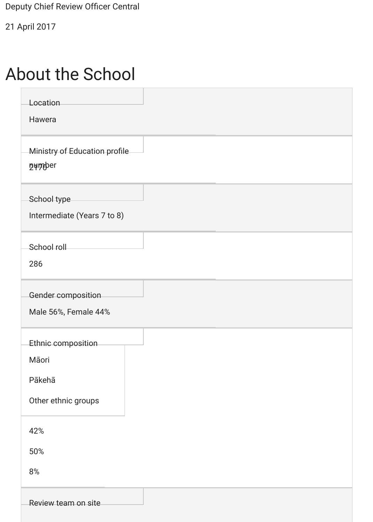Deputy Chief Review Officer Central

21 April 2017

## About the School

| Location<br>Hawera                                           |  |
|--------------------------------------------------------------|--|
| Ministry of Education profile<br><b>DHAD</b> er              |  |
| School type<br>Intermediate (Years 7 to 8)                   |  |
| School roll<br>286                                           |  |
| Gender composition<br>Male 56%, Female 44%                   |  |
| Ethnic composition<br>Māori<br>Pākehā<br>Other ethnic groups |  |
| 42%<br>50%<br>8%                                             |  |
| Review team on site                                          |  |